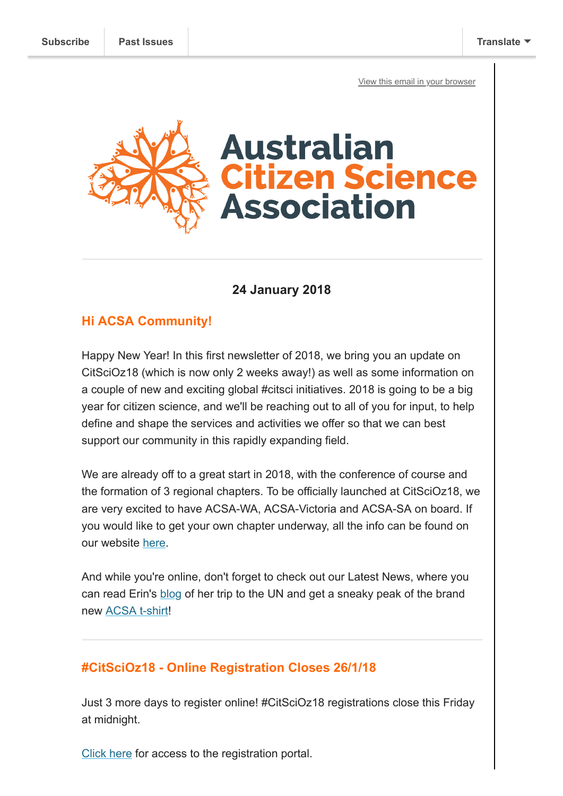[View this email in your browser](https://mailchi.mp/86492f223c48/2-weeks-to-go-citscioz18-acsa-t-shirts-and-more?e=[UNIQID])



### **24 January 2018**

## **Hi ACSA Community!**

Happy New Year! In this first newsletter of 2018, we bring you an update on CitSciOz18 (which is now only 2 weeks away!) as well as some information on a couple of new and exciting global #citsci initiatives. 2018 is going to be a big year for citizen science, and we'll be reaching out to all of you for input, to help define and shape the services and activities we offer so that we can best support our community in this rapidly expanding field.

We are already off to a great start in 2018, with the conference of course and the formation of 3 regional chapters. To be officially launched at CitSciOz18, we are very excited to have ACSA-WA, ACSA-Victoria and ACSA-SA on board. If you would like to get your own chapter underway, all the info can be found on our website [here](https://citizenscience.org.au/propose-a-new-working-group/).

And while you're online, don't forget to check out our Latest News, where you can read Erin's [blog](https://www.citizenscience.org.au/2018/01/17/acsa-heads-to-the-united-nations/) of her trip to the UN and get a sneaky peak of the brand new [ACSA t-shirt!](https://www.citizenscience.org.au/2018/01/22/acsa-t-shirts-are-here/)

### **#CitSciOz18 - Online Registration Closes 26/1/18**

Just 3 more days to register online! #CitSciOz18 registrations close this Friday at midnight.

[Click here](https://pecbookings.eventsair.com/citscioz18/registration/Site/Register) for access to the registration portal.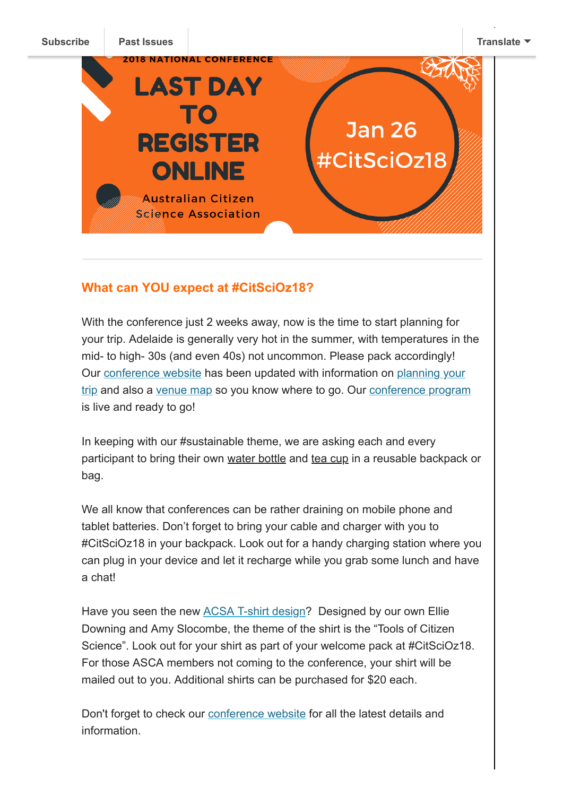

# **What can YOU expect at #CitSciOz18?**

With the conference just 2 weeks away, now is the time to start planning for your trip. Adelaide is generally very hot in the summer, with temperatures in the mid- to high- 30s (and even 40s) not uncommon. Please pack accordingly! [Our conference website has been updated with information on planning your](https://citizenscience.org.au/citscioz18-conference-information/planning-your-trip/) trip and also a [venue map](https://www.google.com/maps/d/viewer?mid=1G6GUKWmETAofmcP-NE2D8tYc-905Lip3&ll=-34.92385205671912%2C138.59658185&z=17) so you know where to go. Our [conference program](https://pecbookings.eventsair.com/QuickEventWebsitePortal/citscioz18/onlineagenda) is live and ready to go!

In keeping with our #sustainable theme, we are asking each and every participant to bring their own water bottle and tea cup in a reusable backpack or bag.

We all know that conferences can be rather draining on mobile phone and tablet batteries. Don't forget to bring your cable and charger with you to #CitSciOz18 in your backpack. Look out for a handy charging station where you can plug in your device and let it recharge while you grab some lunch and have a chat!

Have you seen the new [ACSA T-shirt design](https://www.citizenscience.org.au/2018/01/22/acsa-t-shirts-are-here/)? Designed by our own Ellie Downing and Amy Slocombe, the theme of the shirt is the "Tools of Citizen Science". Look out for your shirt as part of your welcome pack at #CitSciOz18. For those ASCA members not coming to the conference, your shirt will be mailed out to you. Additional shirts can be purchased for \$20 each.

Don't forget to check our [conference website](https://citizenscience.org.au/citscioz18-conference-information/) for all the latest details and information.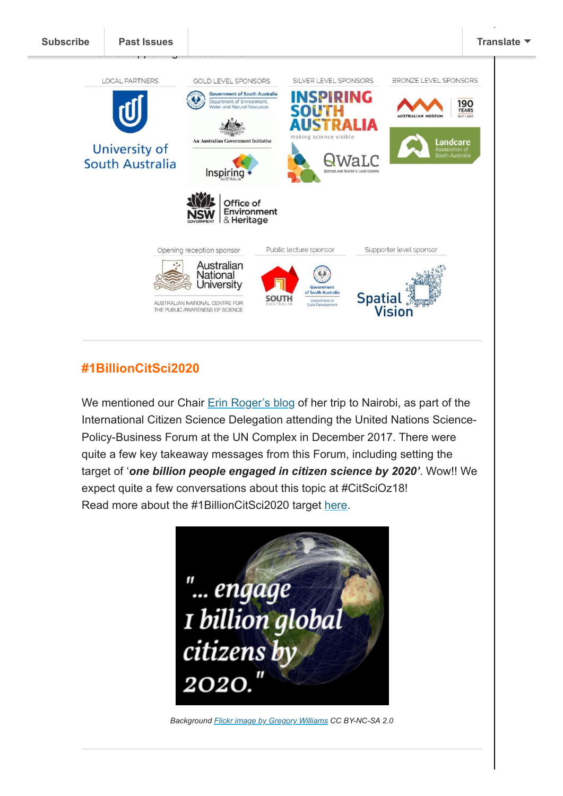

# **#1BillionCitSci2020**

We mentioned our Chair [Erin Roger's blog](https://www.citizenscience.org.au/2018/01/17/acsa-heads-to-the-united-nations/) of her trip to Nairobi, as part of the International Citizen Science Delegation attending the United Nations Science-Policy-Business Forum at the UN Complex in December 2017. There were quite a few key takeaway messages from this Forum, including setting the target of '*one billion people engaged in citizen science by 2020'*. Wow!! We expect quite a few conversations about this topic at #CitSciOz18! Read more about the #1BillionCitSci2020 target [here](http://citizenscience.org/2017/12/27/local-actions-global-connections-advancing-citizen-science-with-un-environment-unep/).



*Background [Flickr image by Gregory Williams](https://www.flickr.com/photos/kasei/4750370030) CC BY-NC-SA 2.0*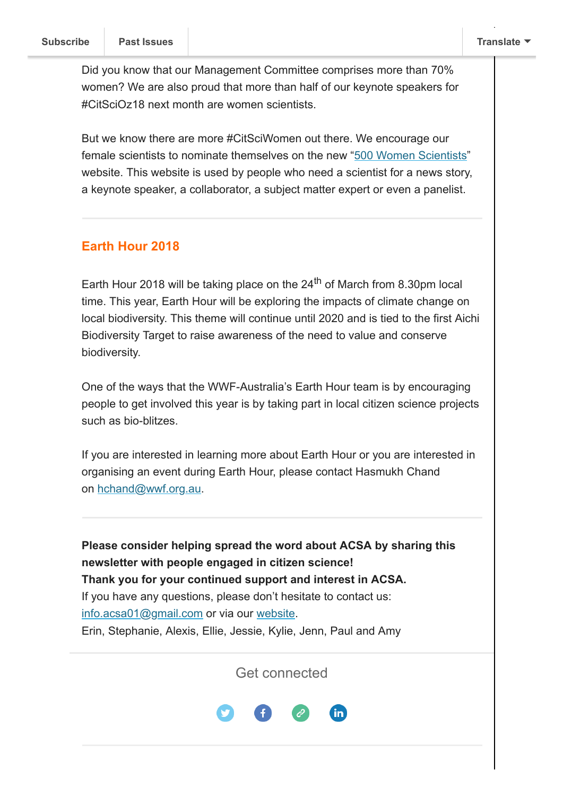Did you know that our Management Committee comprises more than 70% women? We are also proud that more than half of our keynote speakers for #CitSciOz18 next month are women scientists.

But we know there are more #CitSciWomen out there. We encourage our female scientists to nominate themselves on the new "[500 Women Scientists"](https://500womenscientists.org/) website. This website is used by people who need a scientist for a news story, a keynote speaker, a collaborator, a subject matter expert or even a panelist.

## **Earth Hour 2018**

Earth Hour 2018 will be taking place on the 24 $^{\text{th}}$  of March from 8.30pm local time. This year, Earth Hour will be exploring the impacts of climate change on local biodiversity. This theme will continue until 2020 and is tied to the first Aichi Biodiversity Target to raise awareness of the need to value and conserve biodiversity.

One of the ways that the WWF-Australia's Earth Hour team is by encouraging people to get involved this year is by taking part in local citizen science projects such as bio-blitzes.

If you are interested in learning more about Earth Hour or you are interested in organising an event during Earth Hour, please contact Hasmukh Chand on [hchand@wwf.org.au.](mailto:hchand@wwf.org.au)

**Please consider helping spread the word about ACSA by sharing this newsletter with people engaged in citizen science! Thank you for your continued support and interest in ACSA.** If you have any questions, please don't hesitate to contact us: [info.acsa01@gmail.com](mailto:info.acsa01@gmail.com) or via our [website](http://csna.gaiaresources.com.au/wordpress/contact-us/). Erin, Stephanie, Alexis, Ellie, Jessie, Kylie, Jenn, Paul and Amy

Get connected